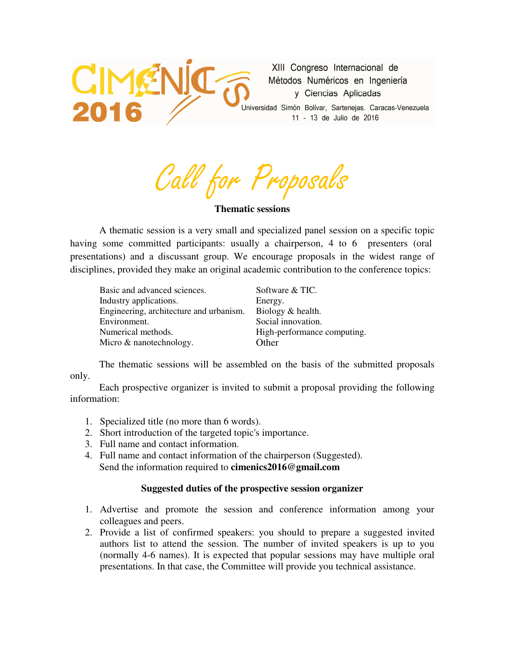

XIII Congreso Internacional de Métodos Numéricos en Ingeniería y Ciencias Aplicadas

Universidad Simón Bolívar, Sartenejas. Caracas-Venezuela 11 - 13 de Julio de 2016

Call for Proposals

**Thematic sessions** 

 A thematic session is a very small and specialized panel session on a specific topic having some committed participants: usually a chairperson, 4 to 6 presenters (oral presentations) and a discussant group. We encourage proposals in the widest range of disciplines, provided they make an original academic contribution to the conference topics:

| Basic and advanced sciences.            | Software & TIC.             |
|-----------------------------------------|-----------------------------|
| Industry applications.                  | Energy.                     |
| Engineering, architecture and urbanism. | Biology & health.           |
| Environment.                            | Social innovation.          |
| Numerical methods.                      | High-performance computing. |
| Micro & nanotechnology.                 | Other                       |

 The thematic sessions will be assembled on the basis of the submitted proposals only.

 Each prospective organizer is invited to submit a proposal providing the following information:

- 1. Specialized title (no more than 6 words).
- 2. Short introduction of the targeted topic's importance.
- 3. Full name and contact information.
- 4. Full name and contact information of the chairperson (Suggested). Send the information required to **cimenics2016@gmail.com**

## **Suggested duties of the prospective session organizer**

- 1. Advertise and promote the session and conference information among your colleagues and peers.
- 2. Provide a list of confirmed speakers: you should to prepare a suggested invited authors list to attend the session. The number of invited speakers is up to you (normally 4-6 names). It is expected that popular sessions may have multiple oral presentations. In that case, the Committee will provide you technical assistance.